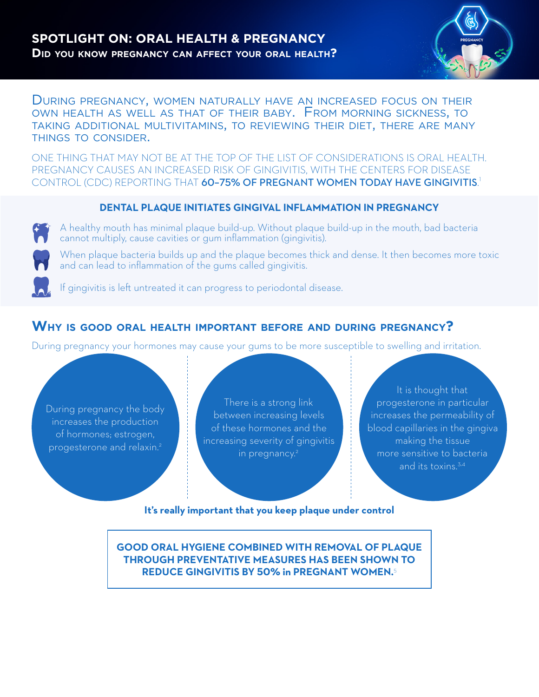

During pregnancy, women naturally have an increased focus on their own health as well as that of their baby. From morning sickness, to taking additional multivitamins, to reviewing their diet, there are many things to consider.

ONE THING THAT MAY NOT BE AT THE TOP OF THE LIST OF CONSIDERATIONS IS ORAL HEALTH. PREGNANCY CAUSES AN INCREASED RISK OF GINGIVITIS, WITH THE CENTERS FOR DISEASE CONTROL (CDC) REPORTING THAT **60-75% OF PREGNANT WOMEN TODAY HAVE GINGIVITIS**.<sup>1</sup>

#### **DENTAL PLAQUE INITIATES GINGIVAL INFLAMMATION IN PREGNANCY**

A healthy mouth has minimal plaque build-up. Without plaque build-up in the mouth, bad bacteria cannot multiply, cause cavities or gum inflammation (gingivitis).

When plaque bacteria builds up and the plaque becomes thick and dense. It then becomes more toxic and can lead to inflammation of the gums called gingivitis.

If gingivitis is left untreated it can progress to periodontal disease.

# **Why is good oral health important before and during pregnancy?**

During pregnancy your hormones may cause your gums to be more susceptible to swelling and irritation.

During pregnancy the body increases the production of hormones; estrogen, progesterone and relaxin.2

There is a strong link between increasing levels of these hormones and the increasing severity of gingivitis in pregnancy.<sup>2</sup>

It is thought that progesterone in particular increases the permeability of blood capillaries in the gingiva making the tissue more sensitive to bacteria and its toxins.<sup>3,4</sup>

**It's really important that you keep plaque under control**

**GOOD ORAL HYGIENE COMBINED WITH REMOVAL OF PLAQUE THROUGH PREVENTATIVE MEASURES HAS BEEN SHOWN TO REDUCE GINGIVITIS BY 50% in PREGNANT WOMEN.**5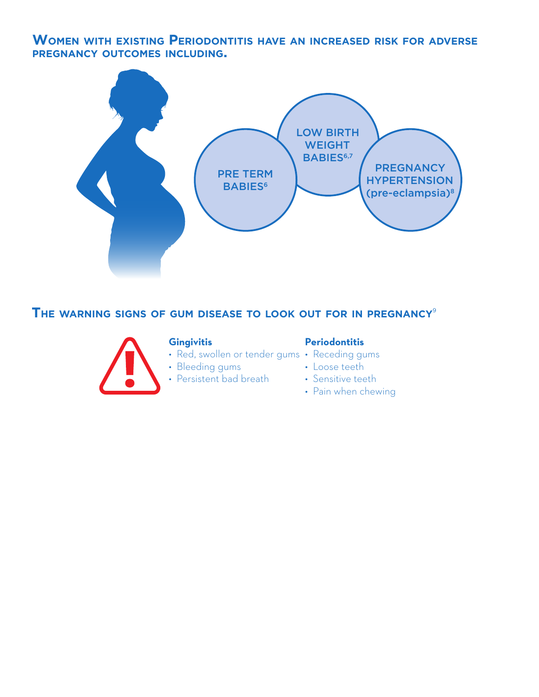# **Women with existing Periodontitis have an increased risk for adverse pregnancy outcomes including.**



**The warning signs of gum disease to look out for in pregnancy**<sup>9</sup>



#### **Gingivitis**

#### **Periodontitis**

- Red, swollen or tender gums Receding gums
- Bleeding gums
- Persistent bad breath
- 
- Loose teeth
- Sensitive teeth
- Pain when chewing